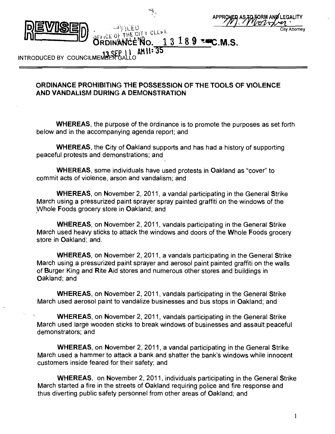



# 13 18 9 **EMC**

INTRODUCED BY COUNCILMEME **AM II'15"** 

#### **ORDINANCE PROHIBITING THE POSSESSION OF THE TOOLS OF VIOLENCE AND VANDALISM DURING A DEMONSTRATION**

WHEREAS, the purpose of the ordinance is to promote the purposes as set forth below and in the accompanying agenda report; and

WHEREAS, the City of Oakland supports and has had a history of supporting peaceful protests and demonstrations; and

WHEREAS, some individuals have used protests in Oakland as "cover" to commit acts of violence, arson and vandalism; and

WHEREAS, on November 2, 2011, a vandal participating in the General Strike March using a pressurized paint sprayer spray painted graffiti on the windows of the Whole Foods grocery store in Oakland; and

WHEREAS, on November 2, 2011, vandals participating in the General Strike March used heavy sticks to attack the windows and doors of the Whole Foods grocery store in Oakland; and.

WHEREAS, on November 2, 2011, a vandals participating in the General Strike March using a pressurized paint sprayer and aerosol paint painted graffiti on the walls of Burger King and Rite Aid stores and numerous other stores and buildings in Oakland; and

WHEREAS, on November 2, 2011, vandals participating in the General Strike March used aerosol paint to vandalize businesses and bus stops in Oakland; and

WHEREAS, on November 2, 2011, vandals participating in the General Strike March used large wooden sticks to break windows of businesses and assault peaceful demonstrators; and

WHEREAS, on November 2, 2011, a vandal participating in the General Strike March used a hammer to attack a bank and shatter the bank's windows while innocent customers inside feared for their safety; and

WHEREAS, on November 2, 2011, individuals participating in the General Strike March started a fire in the streets of Oakland requiring police and fire response and thus diverting public safety personnel from other areas of Oakland; and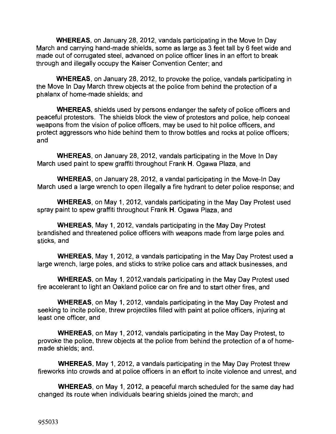WHEREAS, on January 28, 2012, vandals participating in the Move In Day March and carrying hand-made shields, some as large as 3 feet tall by 6 feet wide and made out of corrugated steel, advanced on police officer lines in an effort to break through and illegally occupy the Kaiser Convention Center; and

WHEREAS, on January 28, 2012, to provoke the police, vandals participating in the Move In Day March threw objects at the police from behind the protection of a phalanx of home-made shields; and

WHEREAS, shields used by persons endanger the safety of police officers and peaceful protestors. The shields block the view of protestors and police, help conceal weapons from the vision of police officers, may be used to hit police officers, and protect aggressors who hide behind them to throw bottles and rocks at police officers; and

WHEREAS, on January 28, 2012, vandals participating in the Move In Day March used paint to spew graffiti throughout Frank H. Ogawa Plaza, and

WHEREAS, on January 28, 2012, a vandal participating in the Move-In Day March used a large wrench to open illegally a fire hydrant to deter police response; and

WHEREAS, on May 1, 2012, vandals participating in the May Day Protest used spray paint to spew graffiti throughout Frank H. Ogawa Plaza, and

WHEREAS, May 1, 2012, vandals participating in the May Day Protest brandished and threatened police officers with weapons made from large poles and. sticks, and

WHEREAS, May 1, 2012, a vandals participating in the May Day Protest used a large wrench, large poles, and sticks to strike police cars and attack businesses, and

WHEREAS, on May 1, 2012,vandals participating in the May Day Protest used fire accelerant to light an Oakland police car on fire and to start other fires, and

WHEREAS, on May 1, 2012, vandals participating in the May Day Protest and seeking to incite police, threw projectiles filled with paint at police officers, injuring at least one officer, and

WHEREAS, on May 1, 2012, vandals participating in the May Day Protest, to provoke the police, threw objects at the police from behind the protection of a of homemade shields; and.

WHEREAS, May 1, 2012, a vandals participating in the May Day Protest threw fireworks into crowds and at police officers in an effort to incite violence and unrest, and

WHEREAS, on May 1, 2012, a peaceful march scheduled for the same day had changed its route when individuals bearing shields joined the march; and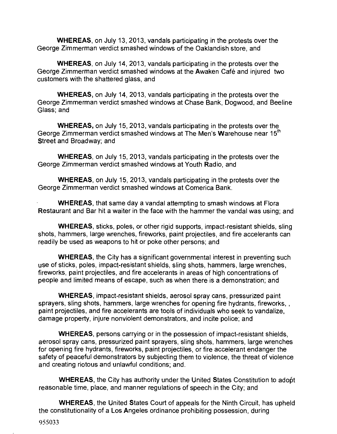WHEREAS, on July 13, 2013, vandals participating in the protests over the George Zimmerman verdict smashed windows of the Oaklandish store, and

WHEREAS, on July 14, 2013, vandals participating in the protests over the George Zimmerman verdict smashed windows at the Awaken Café and injured two customers with the shattered glass, and

WHEREAS, on July 14, 2013, vandals participating in the protests over the George Zimmerman verdict smashed windows at Chase Bank, Dogwood, and Beeline Glass; and

WHEREAS, on July 15, 2013, vandals participating in the protests over the George Zimmerman verdict smashed windows at The Men's **W**arehouse near 15 $^{\mathsf{m}}$ Street and Broadway; and

WHEREAS, on July 15, 2013, vandals participating in the protests over the George Zimmerman verdict smashed windows at Youth Radio, and

WHEREAS, on July 15, 2013, vandals participating in the protests over the George Zimmerman verdict smashed windows at Comerica Bank.

WHEREAS, that same day a vandal attempting to smash windows at Flora Restaurant and Bar hit a waiter in the face with the hammer the vandal was using; and

WHEREAS, sticks, poles, or other rigid supports, impact-resistant shields, sling shots, hammers, large wrenches, fireworks, paint projectiles, and fire accelerants can readily be used as weapons to hit or poke other persons; and

WHEREAS, the City has a significant governmental interest in preventing such use of sticks, poles, impact-resistant shields, sling shots, hammers, large wrenches, fireworks, paint projectiles, and fire accelerants in areas of high concentrations of people and limited means of escape, such as when there is a demonstration; and

WHEREAS, impact-resistant shields, aerosol spray cans, pressurized paint sprayers, sling shots, hammers, large wrenches for opening fire hydrants, fireworks, , paint projectiles, and fire accelerants are tools of individuals who seek to vandalize, damage property, injure nonviolent demonstrators, and incite police; and

WHEREAS, persons carrying or in the possession of impact-resistant shields, aerosol spray cans, pressurized paint sprayers, sling shots, hammers, large wrenches for opening fire hydrants, fireworks, paint projectiles, or fire accelerant endanger the safety of peaceful demonstrators by subjecting them to violence, the threat of violence and creating riotous and unlawful conditions; and.

WHEREAS, the City has authority under the United States Constitution to adopt reasonable time, place, and manner regulations of speech in the City; and

WHEREAS, the United States Court of appeals for the Ninth Circuit, has upheld the constitutionality of a Los Angeles ordinance prohibiting possession, during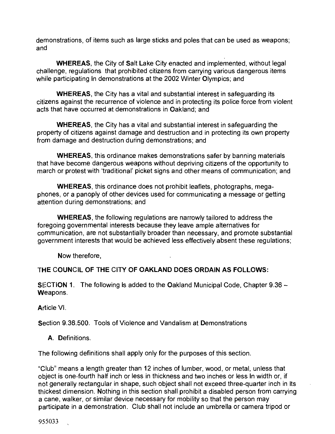demonstrations, of items such as large sticks and poles that can be used as weapons; and

WHEREAS, the City of Salt Lake City enacted and implemented, without legal challenge, regulations that prohibited citizens from carrying various dangerous items while participating In demonstrations at the 2002 Winter Olympics; and

WHEREAS, the City has a vital and substantial interest in safeguarding its citizens against the recurrence of violence and in protecting its police force from violent acts that have occurred at demonstrations in Oakland; and

WHEREAS, the City has a vital and substantial interest in safeguarding the property of citizens against damage and destruction and in protecting its own property from damage and destruction during demonstrations; and

WHEREAS, this ordinance makes demonstrations safer by banning materials that have become dangerous weapons without depriving citizens of the opportunity to march or protest with 'traditional' picket signs and other means of communication; and

WHEREAS, this ordinance does not prohibit leaflets, photographs, megaphones, or a panoply of other devices used for communicating a message or getting attention during demonstrations; and

WHEREAS, the following regulations are narrowly tailored to address the foregoing governmental interests because they leave ample alternatives for communication, are not substantially broader than necessary, and promote substantial government interests that would be achieved less effectively absent these regulations;

Now therefore,

### **THE COUNCIL OF THE CITY OF OAKLAND DOES ORDAIN AS FOLLOWS:**

SECTION 1. The following is added to the Oakland Municipal Code, Chapter 9.36 -Weapons.

Article VI.

Section 9.36.500. Tools of Violence and Vandalism at Demonstrations

#### A. Definitions.

The following definitions shall apply only for the purposes of this section.

"Club" means a length greater than 12 inches of lumber, wood, or metal, unless that object is one-fourth half inch or less in thickness and two inches or less In width or, if not generally rectangular in shape, such object shall not exceed three-quarter inch in Its thickest dimension. Nothing in this section shall prohibit a disabled person from carrying a cane, walker, or similar device necessary for mobility so that the person may participate in a demonstration. Club shall not include an umbrella or camera tripod or

955033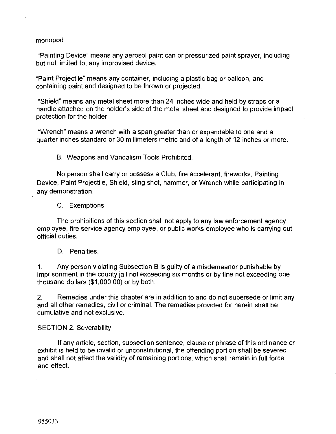monopod.

 $\ddot{\phantom{0}}$ 

"Painting Device" means any aerosol paint can or pressurized paint sprayer, including but not limited to, any improvised device.

"Paint Projectile" means any container, including a plastic bag or balloon, and containing paint and designed to be thrown or projected.

"Shield" means any metal sheet more than 24 inches wide and held by straps or a handle attached on the holder's side of the metal sheet and designed to provide impact protection for the holder.

"Wrench" means a wrench with a span greater than or expandable to one and a quarter inches standard or 30 millimeters metric and of a length of 12 inches or more.

B. Weapons and Vandalism Tools Prohibited.

No person shall carry or possess a Club, fire accelerant, fireworks, Painting Device, Paint Projectile, Shield, sling shot, hammer, or Wrench while participating in any demonstration.

C. Exemptions.

The prohibitions of this section shall not apply to any law enforcement agency employee, fire service agency employee, or public works employee who is carrying out official duties.

D. Penalties.

1. Any person violating Subsection B is guilty of a misdemeanor punishable by imprisonment in the county jail not exceeding six months or by fine not exceeding one thousand dollars (\$1,000.00) or by both.

2. Remedies under this chapter are in addition to and do not supersede or limit any and all other remedies, civil or criminal. The remedies provided for herein shall be cumulative and not exclusive.

SECTION 2. Severability.

If any article, section, subsection sentence, clause or phrase of this ordinance or exhibit is held to be invalid or unconstitutional, the offending portion shall be severed and shall not affect the validity of remaining portions, which shall remain in full force and effect.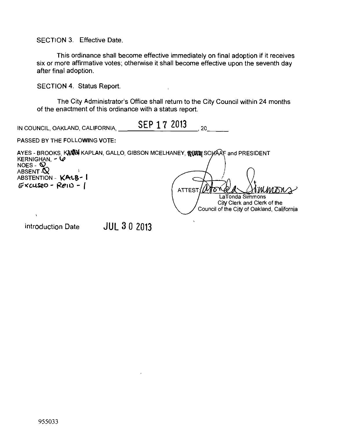SECTION 3. Effective Date.

This ordinance shall become effective immediately on final adoption if it receives six or more affirmative votes; otherwise it shall become effective upon the seventh day after final adoption.

 $\bar{\rm t}$ 

SECTION 4. Status Report.

The City Administrator's Office shall return to the City Council within 24 months of the enactment of this ordinance with a status report.

| IN COUNCIL, OAKLAND, CALIFORNIA, | SEP 17 2013 |  |
|----------------------------------|-------------|--|
|                                  |             |  |

PASSED BY THE FOLLOWING VOTE:

|                                 | AYES - BROOKS, KANN KAPLAN, GALLO, GIBSON MCELHANEY, REALLY SCHAAF and PRESIDENT |
|---------------------------------|----------------------------------------------------------------------------------|
| KERNIGHAN, $\sim$ $\omega$      |                                                                                  |
| NOES - $\mathbf{\Omega}$        |                                                                                  |
| ABSENT Q<br>ABSTENTION - KALB-1 |                                                                                  |
| $Excusep - RenD -$              |                                                                                  |
|                                 | MMMONS<br>ATTEST/LATOT                                                           |
|                                 | LaTonda Simmons                                                                  |
|                                 | City Clerk and Clerk of the                                                      |
|                                 | Council of the City of Oakland, California                                       |

 $\lambda$ 

introduction Date **JUL 3** 0 2013

 $\ddot{\phantom{a}}$